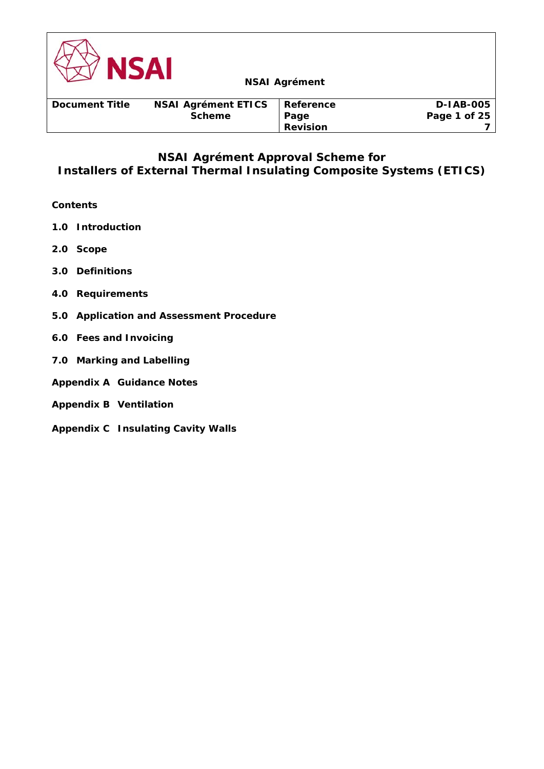

# **NSAI Agrément Approval Scheme for Installers of External Thermal Insulating Composite Systems (ETICS)**

# **Contents**

- **1.0 Introduction**
- **2.0 Scope**
- **3.0 Definitions**
- **4.0 Requirements**
- **5.0 Application and Assessment Procedure**
- **6.0 Fees and Invoicing**
- **7.0 Marking and Labelling**
- **Appendix A Guidance Notes**
- **Appendix B Ventilation**
- **Appendix C Insulating Cavity Walls**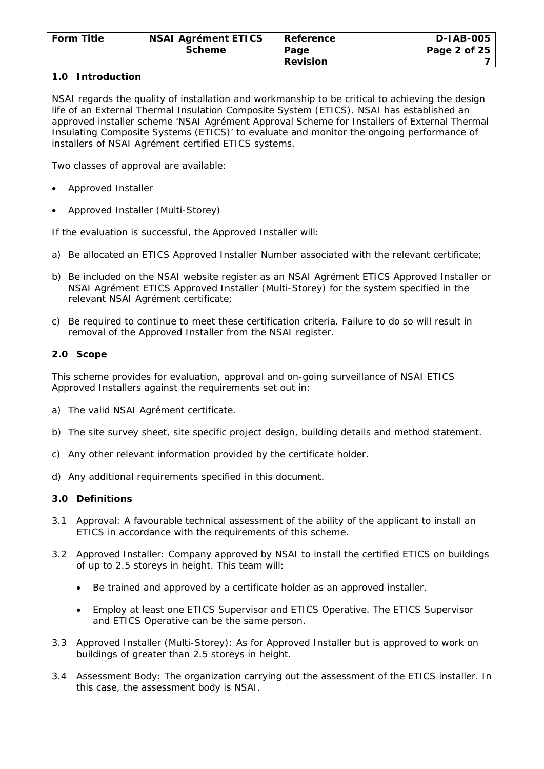### **1.0 Introduction**

NSAI regards the quality of installation and workmanship to be critical to achieving the design life of an External Thermal Insulation Composite System (ETICS). NSAI has established an approved installer scheme 'NSAI Agrément Approval Scheme for Installers of External Thermal Insulating Composite Systems (ETICS)' to evaluate and monitor the ongoing performance of installers of NSAI Agrément certified ETICS systems.

Two classes of approval are available:

- Approved Installer
- Approved Installer (Multi-Storey)

If the evaluation is successful, the Approved Installer will:

- a) Be allocated an ETICS Approved Installer Number associated with the relevant certificate;
- b) Be included on the NSAI website register as an NSAI Agrément ETICS Approved Installer or NSAI Agrément ETICS Approved Installer (Multi-Storey) for the system specified in the relevant NSAI Agrément certificate;
- c) Be required to continue to meet these certification criteria. Failure to do so will result in removal of the Approved Installer from the NSAI register.

### **2.0 Scope**

This scheme provides for evaluation, approval and on-going surveillance of NSAI ETICS Approved Installers against the requirements set out in:

- a) The valid NSAI Agrément certificate.
- b) The site survey sheet, site specific project design, building details and method statement.
- c) Any other relevant information provided by the certificate holder.
- d) Any additional requirements specified in this document.

#### **3.0 Definitions**

- 3.1 Approval: A favourable technical assessment of the ability of the applicant to install an ETICS in accordance with the requirements of this scheme.
- 3.2 Approved Installer: Company approved by NSAI to install the certified ETICS on buildings of up to 2.5 storeys in height. This team will:
	- Be trained and approved by a certificate holder as an approved installer.
	- Employ at least one ETICS Supervisor and ETICS Operative. The ETICS Supervisor and ETICS Operative can be the same person.
- 3.3 Approved Installer (Multi-Storey): As for Approved Installer but is approved to work on buildings of greater than 2.5 storeys in height.
- 3.4 Assessment Body: The organization carrying out the assessment of the ETICS installer. In this case, the assessment body is NSAI.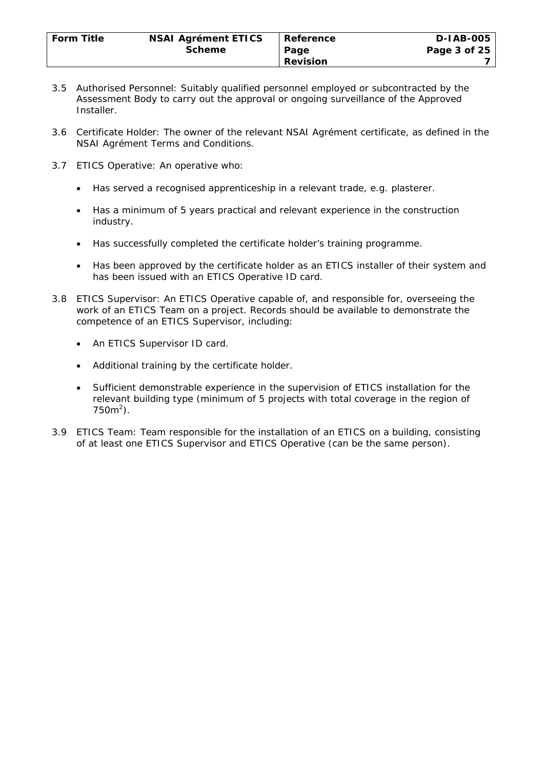- 3.5 Authorised Personnel: Suitably qualified personnel employed or subcontracted by the Assessment Body to carry out the approval or ongoing surveillance of the Approved Installer.
- 3.6 Certificate Holder: The owner of the relevant NSAI Agrément certificate, as defined in the NSAI Agrément Terms and Conditions.
- 3.7 ETICS Operative: An operative who:
	- Has served a recognised apprenticeship in a relevant trade, e.g. plasterer.
	- Has a minimum of 5 years practical and relevant experience in the construction industry.
	- Has successfully completed the certificate holder's training programme.
	- Has been approved by the certificate holder as an ETICS installer of their system and has been issued with an ETICS Operative ID card.
- 3.8 ETICS Supervisor: An ETICS Operative capable of, and responsible for, overseeing the work of an ETICS Team on a project. Records should be available to demonstrate the competence of an ETICS Supervisor, including:
	- An ETICS Supervisor ID card.
	- Additional training by the certificate holder.
	- Sufficient demonstrable experience in the supervision of ETICS installation for the relevant building type (minimum of 5 projects with total coverage in the region of  $750m^2$ ).
- 3.9 ETICS Team: Team responsible for the installation of an ETICS on a building, consisting of at least one ETICS Supervisor and ETICS Operative (can be the same person).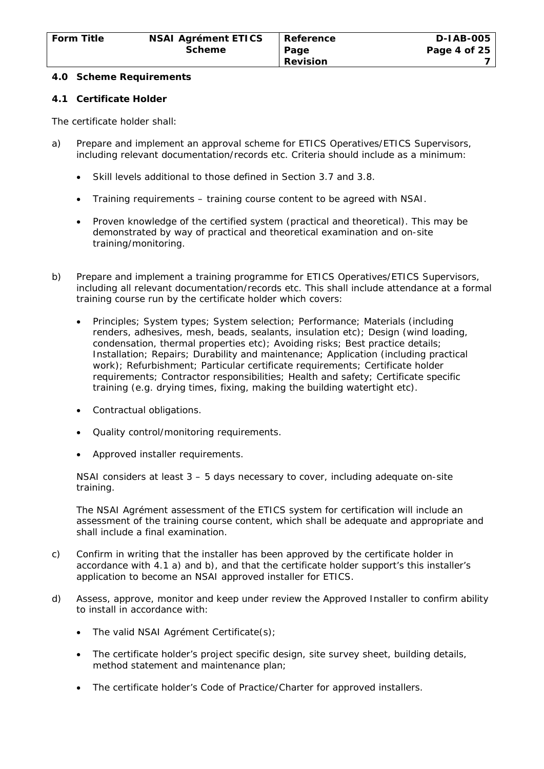#### **4.0 Scheme Requirements**

### **4.1 Certificate Holder**

The certificate holder shall:

- a) Prepare and implement an approval scheme for ETICS Operatives/ETICS Supervisors, including relevant documentation/records etc. Criteria should include as a minimum:
	- Skill levels additional to those defined in Section 3.7 and 3.8.
	- Training requirements training course content to be agreed with NSAI.
	- Proven knowledge of the certified system (practical and theoretical). This may be demonstrated by way of practical and theoretical examination and on-site training/monitoring.
- b) Prepare and implement a training programme for ETICS Operatives/ETICS Supervisors, including all relevant documentation/records etc. This shall include attendance at a formal training course run by the certificate holder which covers:
	- Principles; System types; System selection; Performance; Materials (including renders, adhesives, mesh, beads, sealants, insulation etc); Design (wind loading, condensation, thermal properties etc); Avoiding risks; Best practice details; Installation; Repairs; Durability and maintenance; Application (including practical work); Refurbishment; Particular certificate requirements; Certificate holder requirements; Contractor responsibilities; Health and safety; Certificate specific training (e.g. drying times, fixing, making the building watertight etc).
	- Contractual obligations.
	- Quality control/monitoring requirements.
	- Approved installer requirements.

NSAI considers at least 3 – 5 days necessary to cover, including adequate on-site training.

The NSAI Agrément assessment of the ETICS system for certification will include an assessment of the training course content, which shall be adequate and appropriate and shall include a final examination.

- c) Confirm in writing that the installer has been approved by the certificate holder in accordance with 4.1 a) and b), and that the certificate holder support's this installer's application to become an NSAI approved installer for ETICS.
- d) Assess, approve, monitor and keep under review the Approved Installer to confirm ability to install in accordance with:
	- The valid NSAI Agrément Certificate(s);
	- The certificate holder's project specific design, site survey sheet, building details, method statement and maintenance plan;
	- The certificate holder's Code of Practice/Charter for approved installers.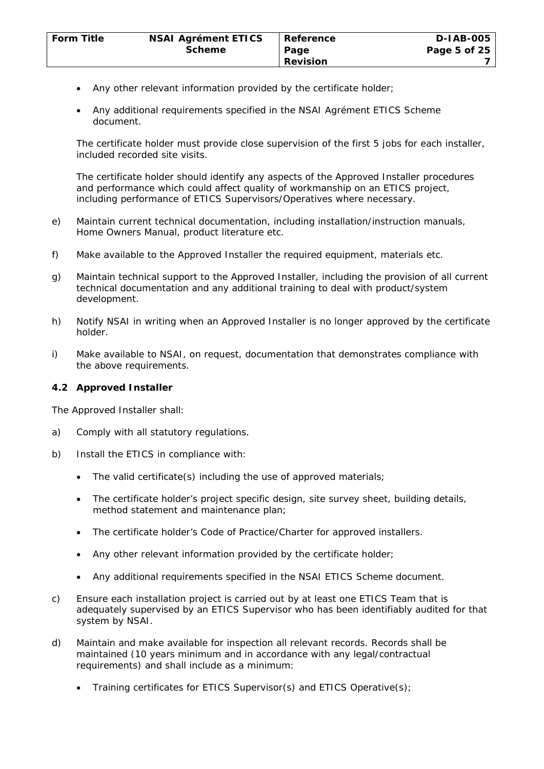- Any other relevant information provided by the certificate holder;
- Any additional requirements specified in the NSAI Agrément ETICS Scheme document.

The certificate holder must provide close supervision of the first 5 jobs for each installer, included recorded site visits.

The certificate holder should identify any aspects of the Approved Installer procedures and performance which could affect quality of workmanship on an ETICS project, including performance of ETICS Supervisors/Operatives where necessary.

- e) Maintain current technical documentation, including installation/instruction manuals, Home Owners Manual, product literature etc.
- f) Make available to the Approved Installer the required equipment, materials etc.
- g) Maintain technical support to the Approved Installer, including the provision of all current technical documentation and any additional training to deal with product/system development.
- h) Notify NSAI in writing when an Approved Installer is no longer approved by the certificate holder.
- i) Make available to NSAI, on request, documentation that demonstrates compliance with the above requirements.

### **4.2 Approved Installer**

The Approved Installer shall:

- a) Comply with all statutory regulations.
- b) Install the ETICS in compliance with:
	- The valid certificate(s) including the use of approved materials;
	- The certificate holder's project specific design, site survey sheet, building details, method statement and maintenance plan;
	- The certificate holder's Code of Practice/Charter for approved installers.
	- Any other relevant information provided by the certificate holder;
	- Any additional requirements specified in the NSAI ETICS Scheme document.
- c) Ensure each installation project is carried out by at least one ETICS Team that is adequately supervised by an ETICS Supervisor who has been identifiably audited for that system by NSAI.
- d) Maintain and make available for inspection all relevant records. Records shall be maintained (10 years minimum and in accordance with any legal/contractual requirements) and shall include as a minimum:
	- Training certificates for ETICS Supervisor(s) and ETICS Operative(s);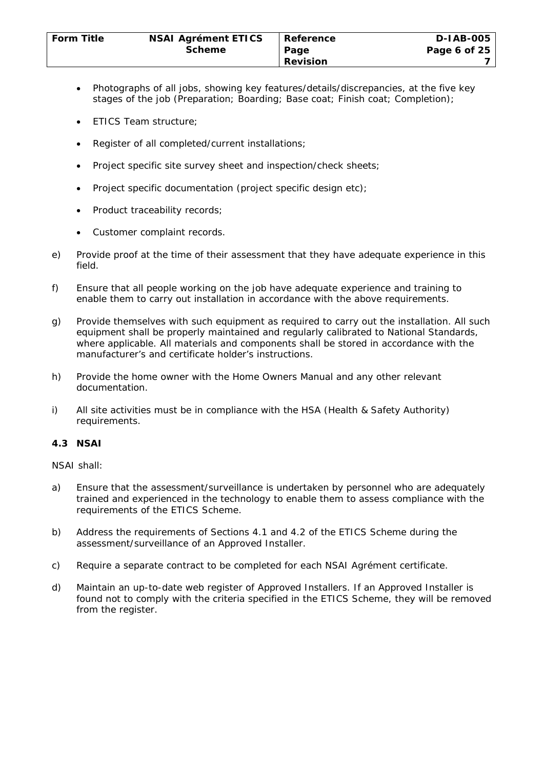- Photographs of all jobs, showing key features/details/discrepancies, at the five key stages of the job (Preparation; Boarding; Base coat; Finish coat; Completion);
- ETICS Team structure;
- Register of all completed/current installations;
- Project specific site survey sheet and inspection/check sheets;
- Project specific documentation (project specific design etc);
- Product traceability records;
- Customer complaint records.
- e) Provide proof at the time of their assessment that they have adequate experience in this field.
- f) Ensure that all people working on the job have adequate experience and training to enable them to carry out installation in accordance with the above requirements.
- g) Provide themselves with such equipment as required to carry out the installation. All such equipment shall be properly maintained and regularly calibrated to National Standards, where applicable. All materials and components shall be stored in accordance with the manufacturer's and certificate holder's instructions.
- h) Provide the home owner with the Home Owners Manual and any other relevant documentation.
- i) All site activities must be in compliance with the HSA (Health & Safety Authority) requirements.

# **4.3 NSAI**

NSAI shall:

- a) Ensure that the assessment/surveillance is undertaken by personnel who are adequately trained and experienced in the technology to enable them to assess compliance with the requirements of the ETICS Scheme.
- b) Address the requirements of Sections 4.1 and 4.2 of the ETICS Scheme during the assessment/surveillance of an Approved Installer.
- c) Require a separate contract to be completed for each NSAI Agrément certificate.
- d) Maintain an up-to-date web register of Approved Installers. If an Approved Installer is found not to comply with the criteria specified in the ETICS Scheme, they will be removed from the register.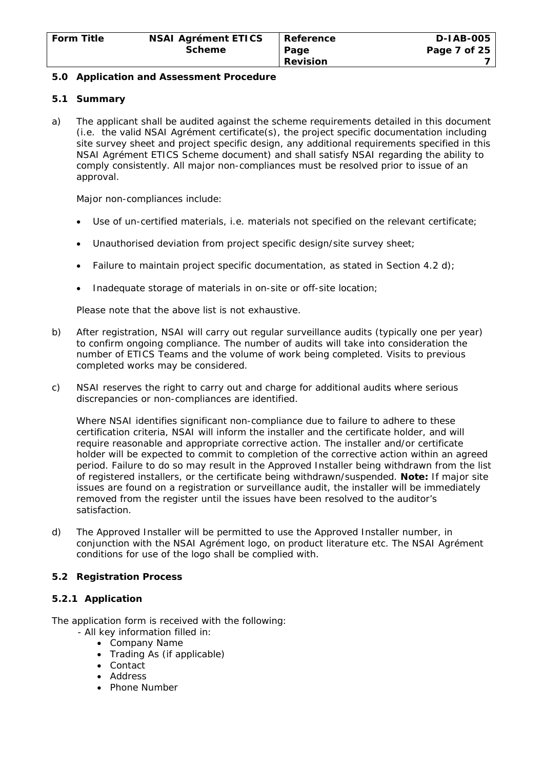### **5.0 Application and Assessment Procedure**

### **5.1 Summary**

a) The applicant shall be audited against the scheme requirements detailed in this document (i.e. the valid NSAI Agrément certificate(s), the project specific documentation including site survey sheet and project specific design, any additional requirements specified in this NSAI Agrément ETICS Scheme document) and shall satisfy NSAI regarding the ability to comply consistently. All major non-compliances must be resolved prior to issue of an approval.

Major non-compliances include:

- Use of un-certified materials, i.e. materials not specified on the relevant certificate;
- Unauthorised deviation from project specific design/site survey sheet;
- Failure to maintain project specific documentation, as stated in Section 4.2 d);
- Inadequate storage of materials in on-site or off-site location;

Please note that the above list is not exhaustive.

- b) After registration, NSAI will carry out regular surveillance audits (typically one per year) to confirm ongoing compliance. The number of audits will take into consideration the number of ETICS Teams and the volume of work being completed. Visits to previous completed works may be considered.
- c) NSAI reserves the right to carry out and charge for additional audits where serious discrepancies or non-compliances are identified.

Where NSAI identifies significant non-compliance due to failure to adhere to these certification criteria, NSAI will inform the installer and the certificate holder, and will require reasonable and appropriate corrective action. The installer and/or certificate holder will be expected to commit to completion of the corrective action within an agreed period. Failure to do so may result in the Approved Installer being withdrawn from the list of registered installers, or the certificate being withdrawn/suspended. **Note:** If major site issues are found on a registration or surveillance audit, the installer will be immediately removed from the register until the issues have been resolved to the auditor's satisfaction.

d) The Approved Installer will be permitted to use the Approved Installer number, in conjunction with the NSAI Agrément logo, on product literature etc. The NSAI Agrément conditions for use of the logo shall be complied with.

#### **5.2 Registration Process**

# **5.2.1 Application**

The application form is received with the following:

- All key information filled in:
	- Company Name
	- Trading As (if applicable)
	- Contact
	- Address
	- Phone Number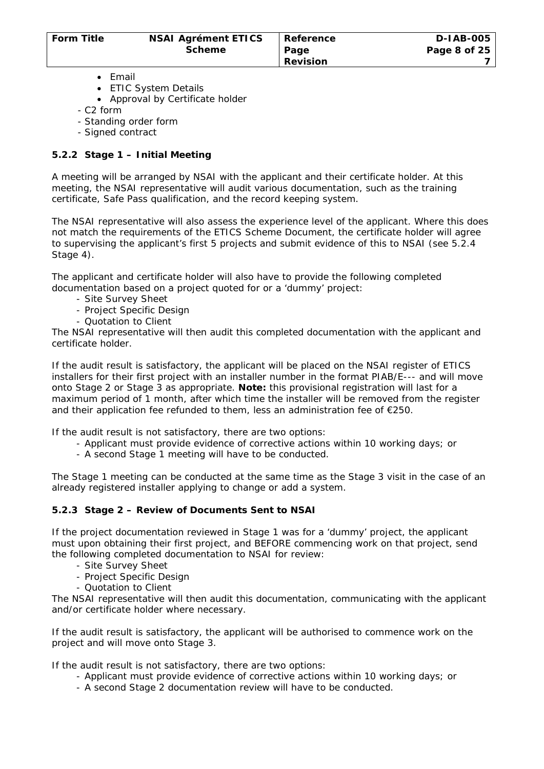- Email
- ETIC System Details
- Approval by Certificate holder
- C2 form
- Standing order form
- Signed contract

# **5.2.2 Stage 1 – Initial Meeting**

A meeting will be arranged by NSAI with the applicant and their certificate holder. At this meeting, the NSAI representative will audit various documentation, such as the training certificate, Safe Pass qualification, and the record keeping system.

The NSAI representative will also assess the experience level of the applicant. Where this does not match the requirements of the ETICS Scheme Document, the certificate holder will agree to supervising the applicant's first 5 projects and submit evidence of this to NSAI (see 5.2.4 Stage 4).

The applicant and certificate holder will also have to provide the following completed documentation based on a project quoted for or a 'dummy' project:

- Site Survey Sheet
- Project Specific Design
- Quotation to Client

The NSAI representative will then audit this completed documentation with the applicant and certificate holder.

If the audit result is satisfactory, the applicant will be placed on the NSAI register of ETICS installers for their first project with an installer number in the format PIAB/E--- and will move onto Stage 2 or Stage 3 as appropriate. **Note:** this provisional registration will last for a maximum period of 1 month, after which time the installer will be removed from the register and their application fee refunded to them, less an administration fee of €250.

If the audit result is not satisfactory, there are two options:

- Applicant must provide evidence of corrective actions within 10 working days; or
	- A second Stage 1 meeting will have to be conducted.

The Stage 1 meeting can be conducted at the same time as the Stage 3 visit in the case of an already registered installer applying to change or add a system.

# **5.2.3 Stage 2 – Review of Documents Sent to NSAI**

If the project documentation reviewed in Stage 1 was for a 'dummy' project, the applicant must upon obtaining their first project, and BEFORE commencing work on that project, send the following completed documentation to NSAI for review:

- Site Survey Sheet
- Project Specific Design
- Quotation to Client

The NSAI representative will then audit this documentation, communicating with the applicant and/or certificate holder where necessary.

If the audit result is satisfactory, the applicant will be authorised to commence work on the project and will move onto Stage 3.

If the audit result is not satisfactory, there are two options:

- Applicant must provide evidence of corrective actions within 10 working days; or
- A second Stage 2 documentation review will have to be conducted.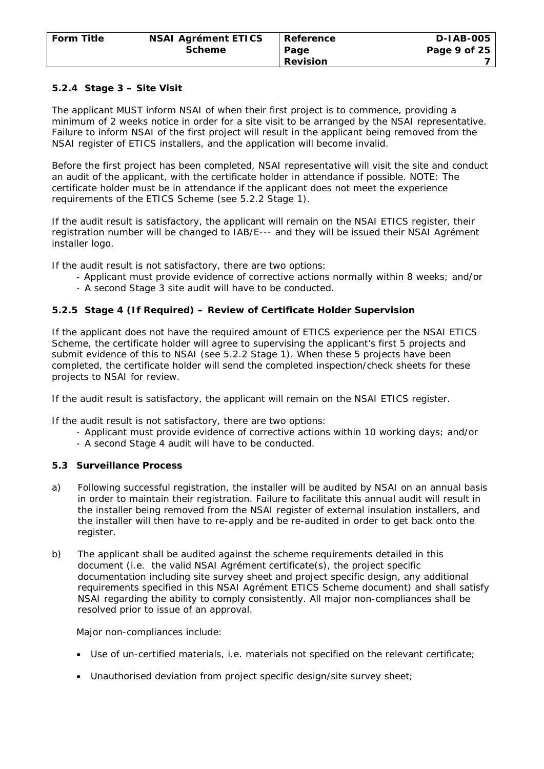### **5.2.4 Stage 3 – Site Visit**

The applicant MUST inform NSAI of when their first project is to commence, providing a minimum of 2 weeks notice in order for a site visit to be arranged by the NSAI representative. Failure to inform NSAI of the first project will result in the applicant being removed from the NSAI register of ETICS installers, and the application will become invalid.

Before the first project has been completed, NSAI representative will visit the site and conduct an audit of the applicant, with the certificate holder in attendance if possible. NOTE: The certificate holder must be in attendance if the applicant does not meet the experience requirements of the ETICS Scheme (see 5.2.2 Stage 1).

If the audit result is satisfactory, the applicant will remain on the NSAI ETICS register, their registration number will be changed to IAB/E--- and they will be issued their NSAI Agrément installer logo.

If the audit result is not satisfactory, there are two options:

- Applicant must provide evidence of corrective actions normally within 8 weeks; and/or
- A second Stage 3 site audit will have to be conducted.

### **5.2.5 Stage 4 (If Required) – Review of Certificate Holder Supervision**

If the applicant does not have the required amount of ETICS experience per the NSAI ETICS Scheme, the certificate holder will agree to supervising the applicant's first 5 projects and submit evidence of this to NSAI (see 5.2.2 Stage 1). When these 5 projects have been completed, the certificate holder will send the completed inspection/check sheets for these projects to NSAI for review.

If the audit result is satisfactory, the applicant will remain on the NSAI ETICS register.

If the audit result is not satisfactory, there are two options:

- Applicant must provide evidence of corrective actions within 10 working days; and/or
- A second Stage 4 audit will have to be conducted.

# **5.3 Surveillance Process**

- a) Following successful registration, the installer will be audited by NSAI on an annual basis in order to maintain their registration. Failure to facilitate this annual audit will result in the installer being removed from the NSAI register of external insulation installers, and the installer will then have to re-apply and be re-audited in order to get back onto the register.
- b) The applicant shall be audited against the scheme requirements detailed in this document (i.e. the valid NSAI Agrément certificate(s), the project specific documentation including site survey sheet and project specific design, any additional requirements specified in this NSAI Agrément ETICS Scheme document) and shall satisfy NSAI regarding the ability to comply consistently. All major non-compliances shall be resolved prior to issue of an approval.

Major non-compliances include:

- Use of un-certified materials, i.e. materials not specified on the relevant certificate;
- Unauthorised deviation from project specific design/site survey sheet;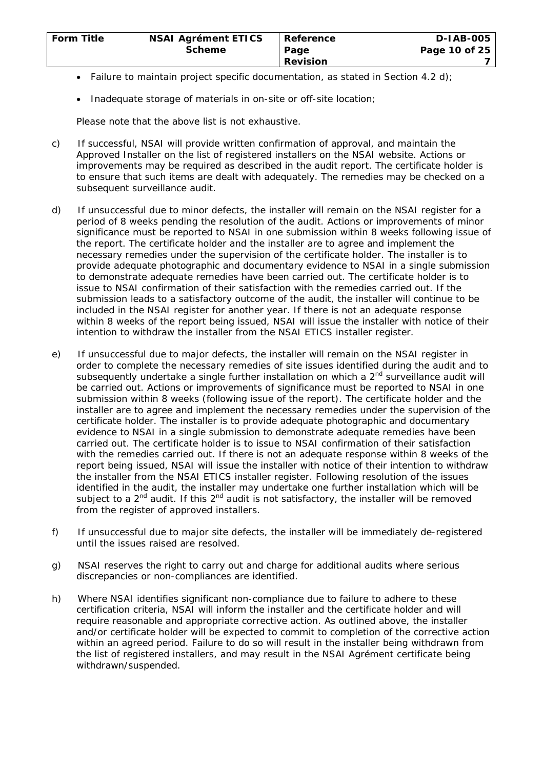- Failure to maintain project specific documentation, as stated in Section 4.2 d);
- Inadequate storage of materials in on-site or off-site location;

Please note that the above list is not exhaustive.

- c) If successful, NSAI will provide written confirmation of approval, and maintain the Approved Installer on the list of registered installers on the NSAI website. Actions or improvements may be required as described in the audit report. The certificate holder is to ensure that such items are dealt with adequately. The remedies may be checked on a subsequent surveillance audit.
- d) If unsuccessful due to minor defects, the installer will remain on the NSAI register for a period of 8 weeks pending the resolution of the audit. Actions or improvements of minor significance must be reported to NSAI in one submission within 8 weeks following issue of the report. The certificate holder and the installer are to agree and implement the necessary remedies under the supervision of the certificate holder. The installer is to provide adequate photographic and documentary evidence to NSAI in a single submission to demonstrate adequate remedies have been carried out. The certificate holder is to issue to NSAI confirmation of their satisfaction with the remedies carried out. If the submission leads to a satisfactory outcome of the audit, the installer will continue to be included in the NSAI register for another year. If there is not an adequate response within 8 weeks of the report being issued, NSAI will issue the installer with notice of their intention to withdraw the installer from the NSAI ETICS installer register.
- e) If unsuccessful due to major defects, the installer will remain on the NSAI register in order to complete the necessary remedies of site issues identified during the audit and to subsequently undertake a single further installation on which a  $2^{nd}$  surveillance audit will be carried out. Actions or improvements of significance must be reported to NSAI in one submission within 8 weeks (following issue of the report). The certificate holder and the installer are to agree and implement the necessary remedies under the supervision of the certificate holder. The installer is to provide adequate photographic and documentary evidence to NSAI in a single submission to demonstrate adequate remedies have been carried out. The certificate holder is to issue to NSAI confirmation of their satisfaction with the remedies carried out. If there is not an adequate response within 8 weeks of the report being issued, NSAI will issue the installer with notice of their intention to withdraw the installer from the NSAI ETICS installer register. Following resolution of the issues identified in the audit, the installer may undertake one further installation which will be subject to a  $2^{nd}$  audit. If this  $2^{nd}$  audit is not satisfactory, the installer will be removed from the register of approved installers.
- f) If unsuccessful due to major site defects, the installer will be immediately de-registered until the issues raised are resolved.
- g) NSAI reserves the right to carry out and charge for additional audits where serious discrepancies or non-compliances are identified.
- h) Where NSAI identifies significant non-compliance due to failure to adhere to these certification criteria, NSAI will inform the installer and the certificate holder and will require reasonable and appropriate corrective action. As outlined above, the installer and/or certificate holder will be expected to commit to completion of the corrective action within an agreed period. Failure to do so will result in the installer being withdrawn from the list of registered installers, and may result in the NSAI Agrément certificate being withdrawn/suspended.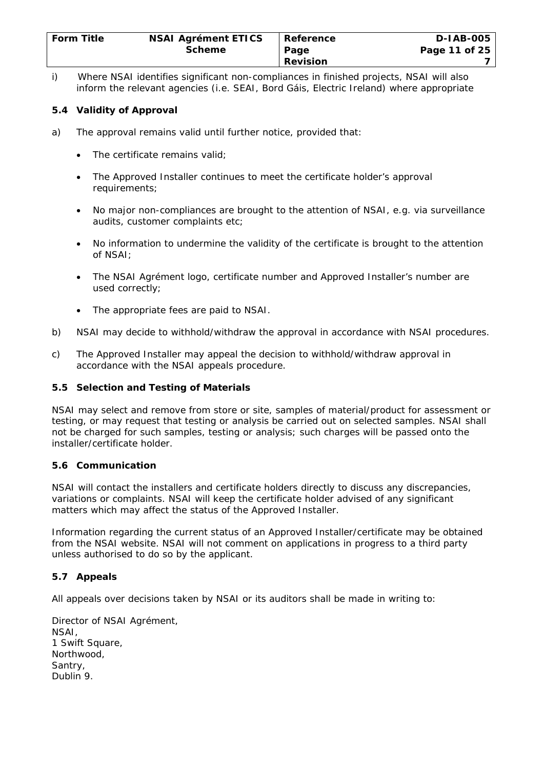| <b>Form Title</b> | <b>NSAI Agrément ETICS</b> | Reference       | <b>D-IAB-005</b> |
|-------------------|----------------------------|-----------------|------------------|
|                   | <b>Scheme</b>              | Page            | Page 11 of 25    |
|                   |                            | <b>Revision</b> |                  |

i) Where NSAI identifies significant non-compliances in finished projects, NSAI will also inform the relevant agencies (i.e. SEAI, Bord Gáis, Electric Ireland) where appropriate

# **5.4 Validity of Approval**

- a) The approval remains valid until further notice, provided that:
	- The certificate remains valid;
	- The Approved Installer continues to meet the certificate holder's approval requirements;
	- No major non-compliances are brought to the attention of NSAI, e.g. via surveillance audits, customer complaints etc;
	- No information to undermine the validity of the certificate is brought to the attention of NSAI;
	- The NSAI Agrément logo, certificate number and Approved Installer's number are used correctly;
	- The appropriate fees are paid to NSAI.
- b) NSAI may decide to withhold/withdraw the approval in accordance with NSAI procedures.
- c) The Approved Installer may appeal the decision to withhold/withdraw approval in accordance with the NSAI appeals procedure.

### **5.5 Selection and Testing of Materials**

NSAI may select and remove from store or site, samples of material/product for assessment or testing, or may request that testing or analysis be carried out on selected samples. NSAI shall not be charged for such samples, testing or analysis; such charges will be passed onto the installer/certificate holder.

#### **5.6 Communication**

NSAI will contact the installers and certificate holders directly to discuss any discrepancies, variations or complaints. NSAI will keep the certificate holder advised of any significant matters which may affect the status of the Approved Installer.

Information regarding the current status of an Approved Installer/certificate may be obtained from the NSAI website. NSAI will not comment on applications in progress to a third party unless authorised to do so by the applicant.

#### **5.7 Appeals**

All appeals over decisions taken by NSAI or its auditors shall be made in writing to:

Director of NSAI Agrément, NSAI, 1 Swift Square, Northwood, Santry, Dublin 9.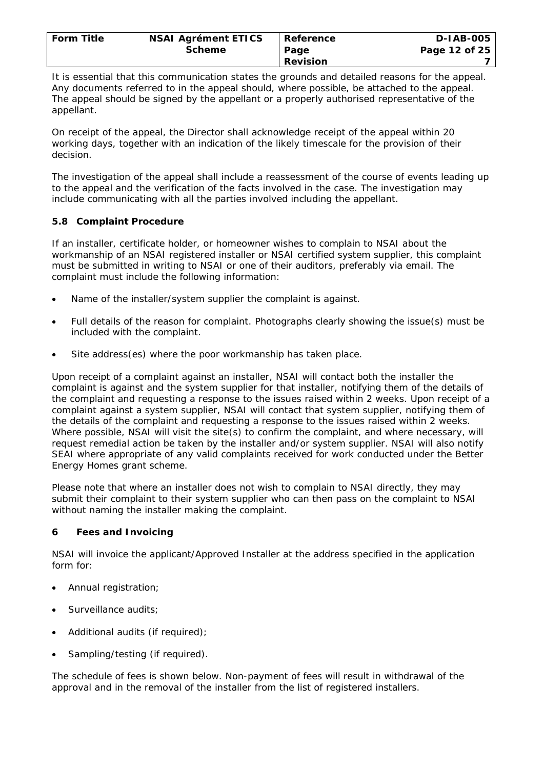| <b>Form Title</b> | <b>NSAI Agrément ETICS</b> | Reference       | <b>D-IAB-005</b> |
|-------------------|----------------------------|-----------------|------------------|
|                   | <b>Scheme</b>              | Page            | Page 12 of 25    |
|                   |                            | <b>Revision</b> |                  |

It is essential that this communication states the grounds and detailed reasons for the appeal. Any documents referred to in the appeal should, where possible, be attached to the appeal. The appeal should be signed by the appellant or a properly authorised representative of the appellant.

On receipt of the appeal, the Director shall acknowledge receipt of the appeal within 20 working days, together with an indication of the likely timescale for the provision of their decision.

The investigation of the appeal shall include a reassessment of the course of events leading up to the appeal and the verification of the facts involved in the case. The investigation may include communicating with all the parties involved including the appellant.

# **5.8 Complaint Procedure**

If an installer, certificate holder, or homeowner wishes to complain to NSAI about the workmanship of an NSAI registered installer or NSAI certified system supplier, this complaint must be submitted in writing to NSAI or one of their auditors, preferably via email. The complaint must include the following information:

- Name of the installer/system supplier the complaint is against.
- Full details of the reason for complaint. Photographs clearly showing the issue(s) must be included with the complaint.
- Site address(es) where the poor workmanship has taken place.

Upon receipt of a complaint against an installer, NSAI will contact both the installer the complaint is against and the system supplier for that installer, notifying them of the details of the complaint and requesting a response to the issues raised within 2 weeks. Upon receipt of a complaint against a system supplier, NSAI will contact that system supplier, notifying them of the details of the complaint and requesting a response to the issues raised within 2 weeks. Where possible, NSAI will visit the site(s) to confirm the complaint, and where necessary, will request remedial action be taken by the installer and/or system supplier. NSAI will also notify SEAI where appropriate of any valid complaints received for work conducted under the Better Energy Homes grant scheme.

Please note that where an installer does not wish to complain to NSAI directly, they may submit their complaint to their system supplier who can then pass on the complaint to NSAI without naming the installer making the complaint.

# **6 Fees and Invoicing**

NSAI will invoice the applicant/Approved Installer at the address specified in the application form for:

- Annual registration;
- Surveillance audits;
- Additional audits (if required);
- Sampling/testing (if required).

The schedule of fees is shown below. Non-payment of fees will result in withdrawal of the approval and in the removal of the installer from the list of registered installers.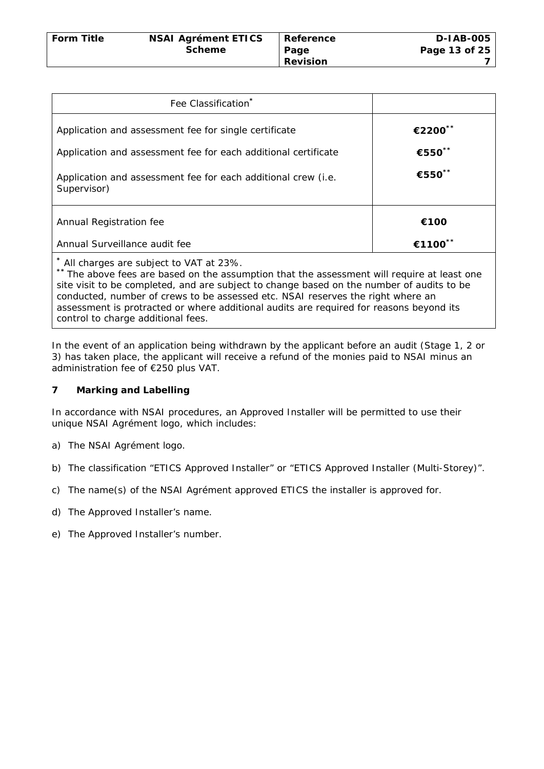| <b>Form Title</b> | <b>NSAI Agrément ETICS</b> | Reference       | <b>D-IAB-005</b> |
|-------------------|----------------------------|-----------------|------------------|
|                   | <b>Scheme</b>              | Page            | Page 13 of 25    |
|                   |                            | <b>Revision</b> |                  |

| Fee Classification <sup>*</sup>                                                                                                       |         |
|---------------------------------------------------------------------------------------------------------------------------------------|---------|
| Application and assessment fee for single certificate                                                                                 | €2200** |
| Application and assessment fee for each additional certificate                                                                        | €550**  |
| Application and assessment fee for each additional crew (i.e.<br>Supervisor)                                                          | €550**  |
| Annual Registration fee                                                                                                               | €100    |
| Annual Surveillance audit fee                                                                                                         | €1100** |
| All charges are subject to VAT at 23%.<br>** The above fees are based on the assumption that the assessment will require at least and |         |

The above fees are based on the assumption that the assessment will require at least one site visit to be completed, and are subject to change based on the number of audits to be conducted, number of crews to be assessed etc. NSAI reserves the right where an assessment is protracted or where additional audits are required for reasons beyond its control to charge additional fees.

In the event of an application being withdrawn by the applicant before an audit (Stage 1, 2 or 3) has taken place, the applicant will receive a refund of the monies paid to NSAI minus an administration fee of €250 plus VAT.

# **7 Marking and Labelling**

In accordance with NSAI procedures, an Approved Installer will be permitted to use their unique NSAI Agrément logo, which includes:

- a) The NSAI Agrément logo.
- b) The classification "ETICS Approved Installer" or "ETICS Approved Installer (Multi-Storey)".
- c) The name(s) of the NSAI Agrément approved ETICS the installer is approved for.
- d) The Approved Installer's name.
- e) The Approved Installer's number.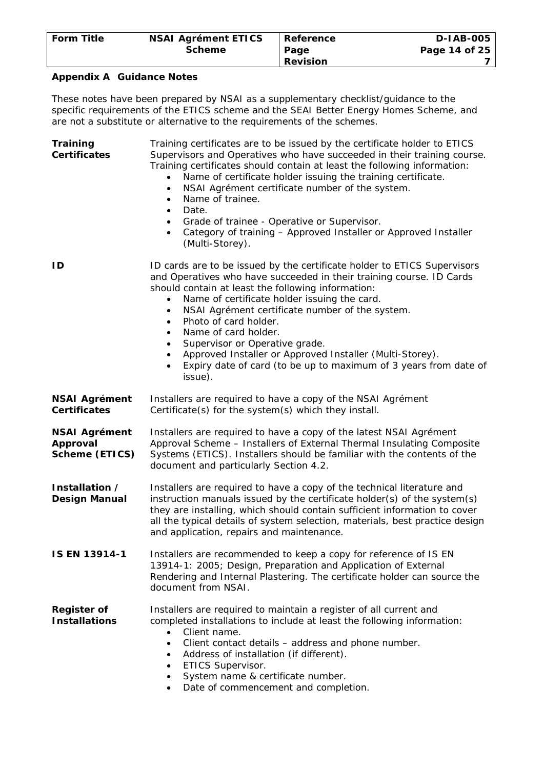| <b>Form Title</b> | <b>NSAI Agrément ETICS</b> | Reference       | <b>D-IAB-005</b> |
|-------------------|----------------------------|-----------------|------------------|
|                   | <b>Scheme</b>              | Page            | Page 14 of 25    |
|                   |                            | <b>Revision</b> |                  |

#### **Appendix A Guidance Notes**

These notes have been prepared by NSAI as a supplementary checklist/guidance to the specific requirements of the ETICS scheme and the SEAI Better Energy Homes Scheme, and are not a substitute or alternative to the requirements of the schemes.

**Training Certificates**  Training certificates are to be issued by the certificate holder to ETICS Supervisors and Operatives who have succeeded in their training course. Training certificates should contain at least the following information: • Name of certificate holder issuing the training certificate. NSAI Agrément certificate number of the system. • Name of trainee. • Date. • Grade of trainee - Operative or Supervisor. • Category of training – Approved Installer or Approved Installer (Multi-Storey). **ID** ID cards are to be issued by the certificate holder to ETICS Supervisors and Operatives who have succeeded in their training course. ID Cards should contain at least the following information: • Name of certificate holder issuing the card. • NSAI Agrément certificate number of the system. • Photo of card holder. • Name of card holder. Supervisor or Operative grade. • Approved Installer or Approved Installer (Multi-Storey). • Expiry date of card (to be up to maximum of 3 years from date of issue). **NSAI Agrément Certificates**  Installers are required to have a copy of the NSAI Agrément Certificate(s) for the system(s) which they install. **NSAI Agrément Approval Scheme (ETICS)**  Installers are required to have a copy of the latest NSAI Agrément Approval Scheme – Installers of External Thermal Insulating Composite Systems (ETICS). Installers should be familiar with the contents of the document and particularly Section 4.2. **Installation / Design Manual**  Installers are required to have a copy of the technical literature and instruction manuals issued by the certificate holder(s) of the system(s) they are installing, which should contain sufficient information to cover all the typical details of system selection, materials, best practice design and application, repairs and maintenance. **IS EN 13914-1** Installers are recommended to keep a copy for reference of IS EN 13914-1: 2005; *Design, Preparation and Application of External Rendering and Internal Plastering*. The certificate holder can source the document from NSAI. **Register of Installations**  Installers are required to maintain a register of all current and completed installations to include at least the following information: • Client name. Client contact details – address and phone number. • Address of installation (if different). • ETICS Supervisor. • System name & certificate number.

• Date of commencement and completion.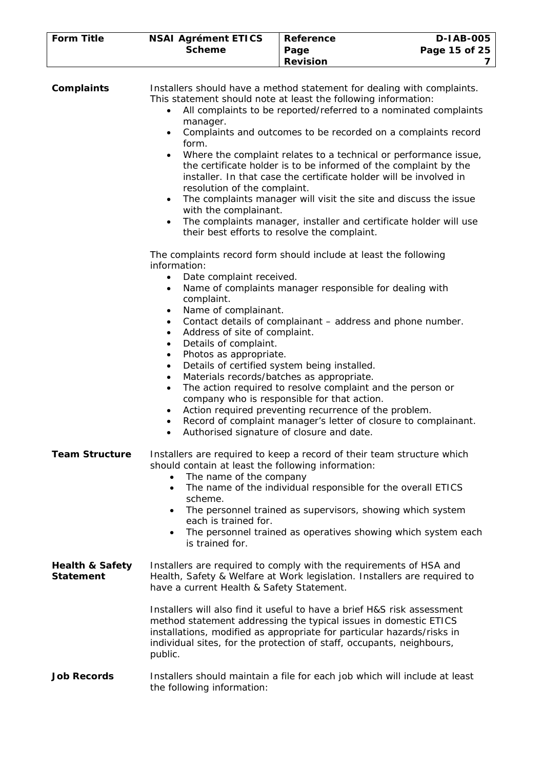| <b>Form Title</b> | <b>NSAI Agrément ETICS</b> | Reference       | <b>D-IAB-005</b> |
|-------------------|----------------------------|-----------------|------------------|
|                   | <b>Scheme</b>              | Page            | Page 15 of 25    |
|                   |                            | <b>Revision</b> |                  |

| <b>Complaints</b>                              | Installers should have a method statement for dealing with complaints.<br>This statement should note at least the following information:<br>All complaints to be reported/referred to a nominated complaints<br>$\bullet$<br>manager.<br>Complaints and outcomes to be recorded on a complaints record<br>$\bullet$<br>form.<br>Where the complaint relates to a technical or performance issue,<br>$\bullet$<br>the certificate holder is to be informed of the complaint by the<br>installer. In that case the certificate holder will be involved in<br>resolution of the complaint.<br>The complaints manager will visit the site and discuss the issue<br>$\bullet$<br>with the complainant.<br>The complaints manager, installer and certificate holder will use<br>$\bullet$<br>their best efforts to resolve the complaint.                                                                         |
|------------------------------------------------|-------------------------------------------------------------------------------------------------------------------------------------------------------------------------------------------------------------------------------------------------------------------------------------------------------------------------------------------------------------------------------------------------------------------------------------------------------------------------------------------------------------------------------------------------------------------------------------------------------------------------------------------------------------------------------------------------------------------------------------------------------------------------------------------------------------------------------------------------------------------------------------------------------------|
|                                                | The complaints record form should include at least the following<br>information:<br>Date complaint received.<br>$\bullet$<br>Name of complaints manager responsible for dealing with<br>$\bullet$<br>complaint.<br>Name of complainant.<br>٠<br>Contact details of complainant – address and phone number.<br>$\bullet$<br>Address of site of complaint.<br>$\bullet$<br>Details of complaint.<br>$\bullet$<br>Photos as appropriate.<br>$\bullet$<br>Details of certified system being installed.<br>$\bullet$<br>Materials records/batches as appropriate.<br>$\bullet$<br>The action required to resolve complaint and the person or<br>$\bullet$<br>company who is responsible for that action.<br>Action required preventing recurrence of the problem.<br>٠<br>Record of complaint manager's letter of closure to complainant.<br>$\bullet$<br>Authorised signature of closure and date.<br>$\bullet$ |
| <b>Team Structure</b>                          | Installers are required to keep a record of their team structure which<br>should contain at least the following information:<br>The name of the company<br>The name of the individual responsible for the overall ETICS<br>scheme.<br>The personnel trained as supervisors, showing which system<br>each is trained for.<br>The personnel trained as operatives showing which system each<br>$\bullet$<br>is trained for.                                                                                                                                                                                                                                                                                                                                                                                                                                                                                   |
| <b>Health &amp; Safety</b><br><b>Statement</b> | Installers are required to comply with the requirements of HSA and<br>Health, Safety & Welfare at Work legislation. Installers are required to<br>have a current Health & Safety Statement.<br>Installers will also find it useful to have a brief H&S risk assessment<br>method statement addressing the typical issues in domestic ETICS<br>installations, modified as appropriate for particular hazards/risks in<br>individual sites, for the protection of staff, occupants, neighbours,<br>public.                                                                                                                                                                                                                                                                                                                                                                                                    |
| <b>Job Records</b>                             | Installers should maintain a file for each job which will include at least                                                                                                                                                                                                                                                                                                                                                                                                                                                                                                                                                                                                                                                                                                                                                                                                                                  |

the following information: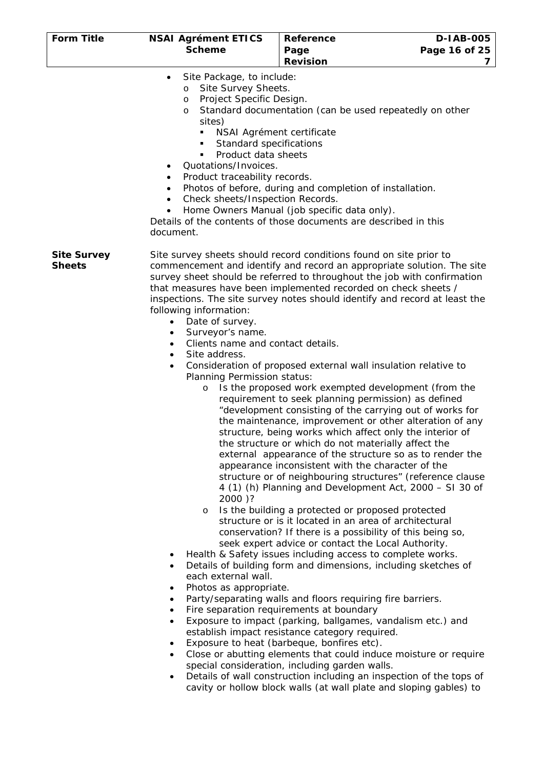| <b>Form Title</b>  | <b>NSAI Agrément ETICS</b>                           | Reference                                                                                                                                 | D-1AB-005     |
|--------------------|------------------------------------------------------|-------------------------------------------------------------------------------------------------------------------------------------------|---------------|
|                    | <b>Scheme</b>                                        | Page                                                                                                                                      | Page 16 of 25 |
|                    |                                                      | <b>Revision</b>                                                                                                                           | 7             |
|                    | Site Package, to include:<br>$\bullet$               |                                                                                                                                           |               |
|                    | Site Survey Sheets.<br>O<br>Project Specific Design. |                                                                                                                                           |               |
|                    | O<br>$\circ$                                         | Standard documentation (can be used repeatedly on other                                                                                   |               |
|                    | sites)                                               |                                                                                                                                           |               |
|                    | ٠                                                    | NSAI Agrément certificate                                                                                                                 |               |
|                    | Standard specifications<br>п                         |                                                                                                                                           |               |
|                    | Product data sheets<br>٠                             |                                                                                                                                           |               |
|                    | Quotations/Invoices.<br>$\bullet$                    |                                                                                                                                           |               |
|                    | Product traceability records.<br>٠<br>٠              | Photos of before, during and completion of installation.                                                                                  |               |
|                    | Check sheets/Inspection Records.<br>$\bullet$        |                                                                                                                                           |               |
|                    | $\bullet$                                            | Home Owners Manual (job specific data only).                                                                                              |               |
|                    |                                                      | Details of the contents of those documents are described in this                                                                          |               |
|                    | document.                                            |                                                                                                                                           |               |
| <b>Site Survey</b> |                                                      | Site survey sheets should record conditions found on site prior to                                                                        |               |
| <b>Sheets</b>      |                                                      | commencement and identify and record an appropriate solution. The site                                                                    |               |
|                    |                                                      | survey sheet should be referred to throughout the job with confirmation                                                                   |               |
|                    |                                                      | that measures have been implemented recorded on check sheets /                                                                            |               |
|                    | following information:                               | inspections. The site survey notes should identify and record at least the                                                                |               |
|                    | Date of survey.<br>$\bullet$                         |                                                                                                                                           |               |
|                    | Surveyor's name.<br>$\bullet$                        |                                                                                                                                           |               |
|                    | Clients name and contact details.<br>٠               |                                                                                                                                           |               |
|                    | Site address.                                        |                                                                                                                                           |               |
|                    | Planning Permission status:                          | Consideration of proposed external wall insulation relative to                                                                            |               |
|                    | $\circ$                                              | Is the proposed work exempted development (from the                                                                                       |               |
|                    |                                                      | requirement to seek planning permission) as defined                                                                                       |               |
|                    |                                                      | "development consisting of the carrying out of works for                                                                                  |               |
|                    |                                                      | the maintenance, improvement or other alteration of any                                                                                   |               |
|                    |                                                      | structure, being works which affect only the interior of                                                                                  |               |
|                    |                                                      | the structure or which do not materially affect the<br>external appearance of the structure so as to render the                           |               |
|                    |                                                      | appearance inconsistent with the character of the                                                                                         |               |
|                    |                                                      | structure or of neighbouring structures" (reference clause                                                                                |               |
|                    |                                                      | 4 (1) (h) Planning and Development Act, 2000 - SI 30 of                                                                                   |               |
|                    | 2000)?                                               |                                                                                                                                           |               |
|                    | $\circ$                                              | Is the building a protected or proposed protected                                                                                         |               |
|                    |                                                      | structure or is it located in an area of architectural<br>conservation? If there is a possibility of this being so,                       |               |
|                    |                                                      | seek expert advice or contact the Local Authority.                                                                                        |               |
|                    | ٠                                                    | Health & Safety issues including access to complete works.                                                                                |               |
|                    | ٠                                                    | Details of building form and dimensions, including sketches of                                                                            |               |
|                    | each external wall.                                  |                                                                                                                                           |               |
|                    | Photos as appropriate.<br>٠                          |                                                                                                                                           |               |
|                    | ٠<br>$\bullet$                                       | Party/separating walls and floors requiring fire barriers.<br>Fire separation requirements at boundary                                    |               |
|                    | $\bullet$                                            | Exposure to impact (parking, ballgames, vandalism etc.) and                                                                               |               |
|                    |                                                      | establish impact resistance category required.                                                                                            |               |
|                    | $\bullet$                                            | Exposure to heat (barbeque, bonfires etc).                                                                                                |               |
|                    | $\bullet$                                            | Close or abutting elements that could induce moisture or require                                                                          |               |
|                    |                                                      | special consideration, including garden walls.                                                                                            |               |
|                    | $\bullet$                                            | Details of wall construction including an inspection of the tops of<br>cavity or hollow block walls (at wall plate and sloping gables) to |               |
|                    |                                                      |                                                                                                                                           |               |
|                    |                                                      |                                                                                                                                           |               |
|                    |                                                      |                                                                                                                                           |               |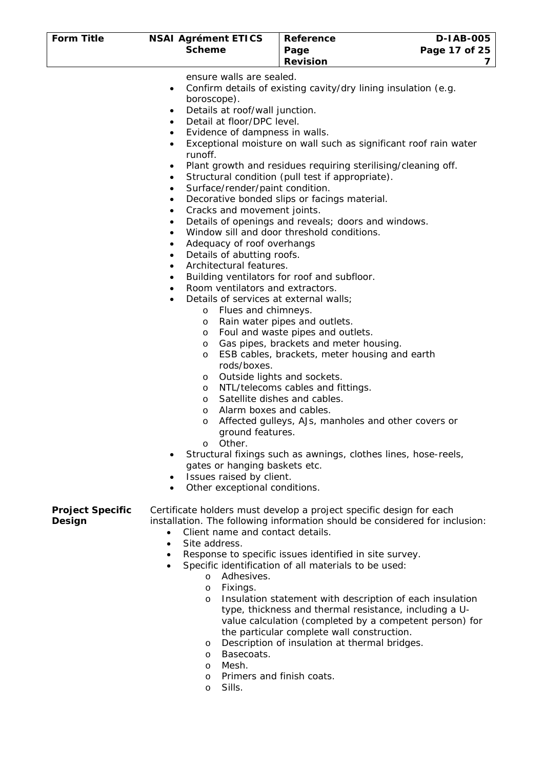| <b>Form Title</b>                 | <b>NSAI Agrément ETICS</b><br><b>Scheme</b>                                                                                                                                                                                                                                                                                                                                                                                                                                                                                                                                                                                                                                                                                                                                                                                                                                                  | Reference<br>Page<br><b>Revision</b>                                                                                                                                                                                                                                                                                                                                                                                                                                                                                                                                                                                                                                                                                                                                                                                                                                                 | <b>D-IAB-005</b><br>Page 17 of 25<br>7 |
|-----------------------------------|----------------------------------------------------------------------------------------------------------------------------------------------------------------------------------------------------------------------------------------------------------------------------------------------------------------------------------------------------------------------------------------------------------------------------------------------------------------------------------------------------------------------------------------------------------------------------------------------------------------------------------------------------------------------------------------------------------------------------------------------------------------------------------------------------------------------------------------------------------------------------------------------|--------------------------------------------------------------------------------------------------------------------------------------------------------------------------------------------------------------------------------------------------------------------------------------------------------------------------------------------------------------------------------------------------------------------------------------------------------------------------------------------------------------------------------------------------------------------------------------------------------------------------------------------------------------------------------------------------------------------------------------------------------------------------------------------------------------------------------------------------------------------------------------|----------------------------------------|
|                                   | ensure walls are sealed.<br>$\bullet$<br>boroscope).<br>Details at roof/wall junction.<br>$\bullet$<br>Detail at floor/DPC level.<br>$\bullet$<br>Evidence of dampness in walls.<br>$\bullet$<br>$\bullet$<br>runoff.<br>٠<br>$\bullet$<br>Surface/render/paint condition.<br>٠<br>٠<br>Cracks and movement joints.<br>٠<br>٠<br>$\bullet$<br>Adequacy of roof overhangs<br>٠<br>Details of abutting roofs.<br>٠<br>Architectural features.<br>$\bullet$<br>$\bullet$<br>Room ventilators and extractors.<br>$\bullet$<br>Details of services at external walls;<br>Flues and chimneys.<br>$\circ$<br>$\circ$<br>$\circ$<br>$\circ$<br>$\circ$<br>rods/boxes.<br>$\circ$<br>$\circ$<br>$\circ$<br>$\circ$<br>O<br>ground features.<br>Other.<br>$\circ$<br>$\bullet$<br>gates or hanging baskets etc.<br>Issues raised by client.<br>$\bullet$<br>Other exceptional conditions.<br>$\bullet$ | Confirm details of existing cavity/dry lining insulation (e.g.<br>Exceptional moisture on wall such as significant roof rain water<br>Plant growth and residues requiring sterilising/cleaning off.<br>Structural condition (pull test if appropriate).<br>Decorative bonded slips or facings material.<br>Details of openings and reveals; doors and windows.<br>Window sill and door threshold conditions.<br>Building ventilators for roof and subfloor.<br>Rain water pipes and outlets.<br>Foul and waste pipes and outlets.<br>Gas pipes, brackets and meter housing.<br>ESB cables, brackets, meter housing and earth<br>Outside lights and sockets.<br>NTL/telecoms cables and fittings.<br>Satellite dishes and cables.<br>Alarm boxes and cables.<br>Affected gulleys, AJs, manholes and other covers or<br>Structural fixings such as awnings, clothes lines, hose-reels, |                                        |
| <b>Project Specific</b><br>Design | Certificate holders must develop a project specific design for each<br>installation. The following information should be considered for inclusion:<br>Client name and contact details.<br>$\bullet$<br>Site address.<br>$\bullet$<br>٠<br>$\bullet$<br>Adhesives.<br>$\circ$<br>Fixings.<br>$\circ$<br>$\circ$                                                                                                                                                                                                                                                                                                                                                                                                                                                                                                                                                                               | Response to specific issues identified in site survey.<br>Specific identification of all materials to be used:<br>Insulation statement with description of each insulation<br>type, thickness and thermal resistance, including a U-                                                                                                                                                                                                                                                                                                                                                                                                                                                                                                                                                                                                                                                 |                                        |

- value calculation (completed by a competent person) for the particular complete wall construction.
- o Description of insulation at thermal bridges.
- o Basecoats.
- o Mesh.
- o Primers and finish coats.
- o Sills.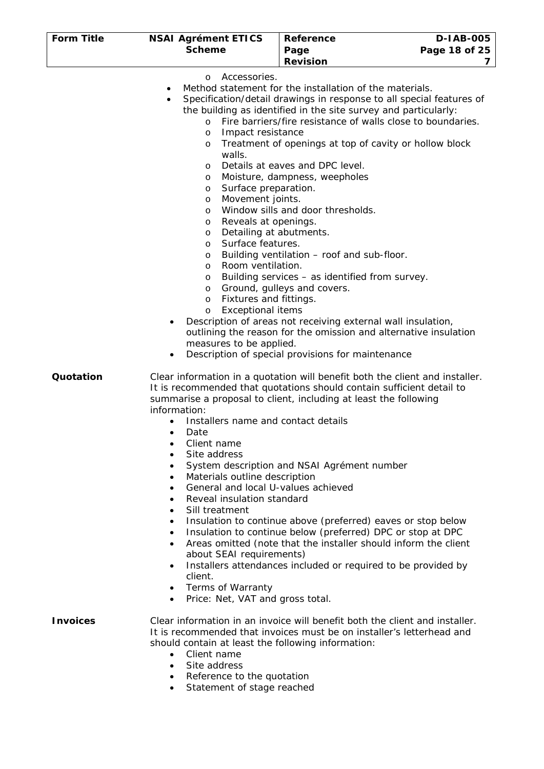| <b>Form Title</b> | <b>NSAI Agrément ETICS</b>                                                                                                                                                                                                                                                                                                                                                                                              | <b>Reference</b>                                                                                                                                                                                                                                                                                                                                                                                                                                                                                                                                                                                                                                                                                                                                             | <b>D-IAB-005</b> |
|-------------------|-------------------------------------------------------------------------------------------------------------------------------------------------------------------------------------------------------------------------------------------------------------------------------------------------------------------------------------------------------------------------------------------------------------------------|--------------------------------------------------------------------------------------------------------------------------------------------------------------------------------------------------------------------------------------------------------------------------------------------------------------------------------------------------------------------------------------------------------------------------------------------------------------------------------------------------------------------------------------------------------------------------------------------------------------------------------------------------------------------------------------------------------------------------------------------------------------|------------------|
|                   | <b>Scheme</b>                                                                                                                                                                                                                                                                                                                                                                                                           | Page                                                                                                                                                                                                                                                                                                                                                                                                                                                                                                                                                                                                                                                                                                                                                         | Page 18 of 25    |
|                   |                                                                                                                                                                                                                                                                                                                                                                                                                         | <b>Revision</b>                                                                                                                                                                                                                                                                                                                                                                                                                                                                                                                                                                                                                                                                                                                                              | 7                |
|                   | Accessories.<br>$\circ$<br>٠<br>$\bullet$<br>$\circ$<br>Impact resistance<br>O<br>O<br>walls.<br>O<br>O<br>Surface preparation.<br>O<br>Movement joints.<br>O<br>O<br>Reveals at openings.<br>O<br>Detailing at abutments.<br>O<br>Surface features.<br>O<br>O<br>Room ventilation.<br>O<br>O<br>O<br>Fixtures and fittings.<br>O<br><b>Exceptional items</b><br>O<br>measures to be applied.                           | Method statement for the installation of the materials.<br>Specification/detail drawings in response to all special features of<br>the building as identified in the site survey and particularly:<br>Fire barriers/fire resistance of walls close to boundaries.<br>Treatment of openings at top of cavity or hollow block<br>Details at eaves and DPC level.<br>Moisture, dampness, weepholes<br>Window sills and door thresholds.<br>Building ventilation – roof and sub-floor.<br>Building services - as identified from survey.<br>Ground, gulleys and covers.<br>Description of areas not receiving external wall insulation,<br>outlining the reason for the omission and alternative insulation<br>Description of special provisions for maintenance |                  |
| Quotation         | information:<br>Installers name and contact details<br>Date<br>$\bullet$<br>Client name<br>٠<br>Site address<br>٠<br>Materials outline description<br>$\bullet$<br>General and local U-values achieved<br>$\bullet$<br>Reveal insulation standard<br>$\bullet$<br>Sill treatment<br>$\bullet$<br>$\bullet$<br>about SEAI requirements)<br>client.<br>Terms of Warranty<br>Price: Net, VAT and gross total.<br>$\bullet$ | Clear information in a quotation will benefit both the client and installer.<br>It is recommended that quotations should contain sufficient detail to<br>summarise a proposal to client, including at least the following<br>System description and NSAI Agrément number<br>Insulation to continue above (preferred) eaves or stop below<br>Insulation to continue below (preferred) DPC or stop at DPC<br>Areas omitted (note that the installer should inform the client<br>Installers attendances included or required to be provided by                                                                                                                                                                                                                  |                  |
| <b>Invoices</b>   | should contain at least the following information:                                                                                                                                                                                                                                                                                                                                                                      | Clear information in an invoice will benefit both the client and installer.<br>It is recommended that invoices must be on installer's letterhead and                                                                                                                                                                                                                                                                                                                                                                                                                                                                                                                                                                                                         |                  |

- Client name
- Site address
- Reference to the quotation
- Statement of stage reached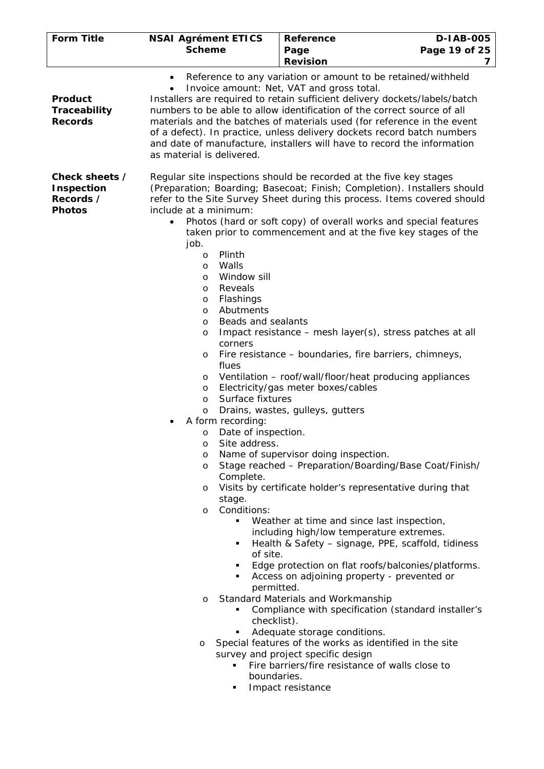| <b>Form Title</b>                                                 | <b>NSAI Agrément ETICS</b><br><b>Scheme</b>                                                                                                                                                                                                                                                                                                                                                                                                                                                                                                                    | Reference<br>Page                                                                                                                                                                                                                                                                                                                                                                                                                                                                                                                                                                                                                                                                                                                                                                                                                                                                                                                                                                                                                                                                                                                                                                                                                                                                                                               | <b>D-IAB-005</b><br>Page 19 of 25 |
|-------------------------------------------------------------------|----------------------------------------------------------------------------------------------------------------------------------------------------------------------------------------------------------------------------------------------------------------------------------------------------------------------------------------------------------------------------------------------------------------------------------------------------------------------------------------------------------------------------------------------------------------|---------------------------------------------------------------------------------------------------------------------------------------------------------------------------------------------------------------------------------------------------------------------------------------------------------------------------------------------------------------------------------------------------------------------------------------------------------------------------------------------------------------------------------------------------------------------------------------------------------------------------------------------------------------------------------------------------------------------------------------------------------------------------------------------------------------------------------------------------------------------------------------------------------------------------------------------------------------------------------------------------------------------------------------------------------------------------------------------------------------------------------------------------------------------------------------------------------------------------------------------------------------------------------------------------------------------------------|-----------------------------------|
|                                                                   |                                                                                                                                                                                                                                                                                                                                                                                                                                                                                                                                                                | <b>Revision</b>                                                                                                                                                                                                                                                                                                                                                                                                                                                                                                                                                                                                                                                                                                                                                                                                                                                                                                                                                                                                                                                                                                                                                                                                                                                                                                                 | 7                                 |
| Product<br>Traceability<br><b>Records</b>                         | $\bullet$<br>as material is delivered.                                                                                                                                                                                                                                                                                                                                                                                                                                                                                                                         | Reference to any variation or amount to be retained/withheld<br>Invoice amount: Net, VAT and gross total.<br>Installers are required to retain sufficient delivery dockets/labels/batch<br>numbers to be able to allow identification of the correct source of all<br>materials and the batches of materials used (for reference in the event<br>of a defect). In practice, unless delivery dockets record batch numbers<br>and date of manufacture, installers will have to record the information                                                                                                                                                                                                                                                                                                                                                                                                                                                                                                                                                                                                                                                                                                                                                                                                                             |                                   |
| Check sheets /<br><b>Inspection</b><br>Records /<br><b>Photos</b> | include at a minimum:<br>$\bullet$<br>job.<br>Plinth<br>$\circ$<br>Walls<br>$\circ$<br>Window sill<br>$\circ$<br>Reveals<br>$\circ$<br>Flashings<br>$\circ$<br>Abutments<br>$\circ$<br>Beads and sealants<br>$\circ$<br>$\circ$<br>corners<br>$\circ$<br>flues<br>$\circ$<br>$\circ$<br>Surface fixtures<br>$\circ$<br>$\circ$<br>A form recording:<br>Date of inspection.<br>O<br>Site address.<br>$\circ$<br>O<br>O<br>Complete.<br>O<br>stage.<br>Conditions:<br>$\circ$<br>٠<br>of site.<br>٠<br>٠<br>permitted.<br>$\circ$<br>checklist).<br>٠<br>$\circ$ | Regular site inspections should be recorded at the five key stages<br>(Preparation; Boarding; Basecoat; Finish; Completion). Installers should<br>refer to the Site Survey Sheet during this process. Items covered should<br>Photos (hard or soft copy) of overall works and special features<br>taken prior to commencement and at the five key stages of the<br>Impact resistance – mesh layer(s), stress patches at all<br>Fire resistance - boundaries, fire barriers, chimneys,<br>Ventilation - roof/wall/floor/heat producing appliances<br>Electricity/gas meter boxes/cables<br>Drains, wastes, gulleys, gutters<br>Name of supervisor doing inspection.<br>Stage reached - Preparation/Boarding/Base Coat/Finish/<br>Visits by certificate holder's representative during that<br>Weather at time and since last inspection,<br>including high/low temperature extremes.<br>Health & Safety - signage, PPE, scaffold, tidiness<br>Edge protection on flat roofs/balconies/platforms.<br>Access on adjoining property - prevented or<br>Standard Materials and Workmanship<br>Compliance with specification (standard installer's<br>Adequate storage conditions.<br>Special features of the works as identified in the site<br>survey and project specific design<br>Fire barriers/fire resistance of walls close to |                                   |
|                                                                   | boundaries.                                                                                                                                                                                                                                                                                                                                                                                                                                                                                                                                                    | Impact resistance                                                                                                                                                                                                                                                                                                                                                                                                                                                                                                                                                                                                                                                                                                                                                                                                                                                                                                                                                                                                                                                                                                                                                                                                                                                                                                               |                                   |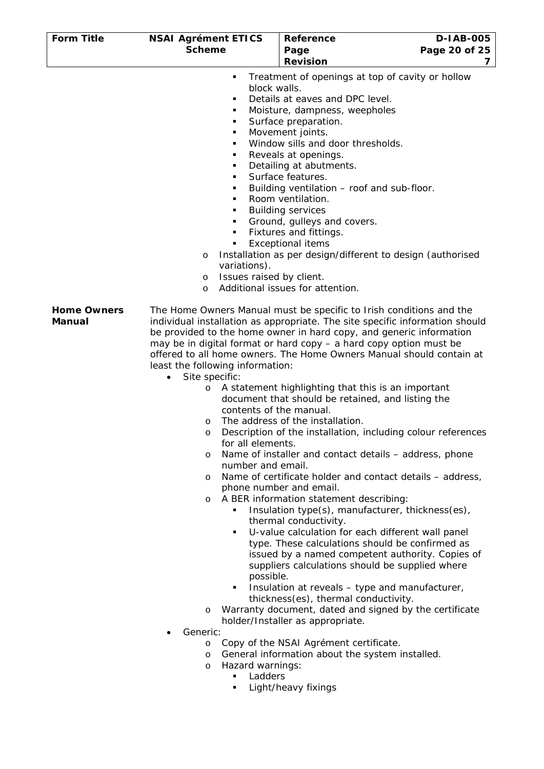| <b>Form Title</b>                   | <b>NSAI Agrément ETICS</b>                                                                                                                                                                                                                                           | Reference                                                                                                                                                                                                                                                                                                                                                                                                                                                                                                                                                                                                                                                                                                                                                                                                                                                                                                                                                                                                                                                                                                                                                                                                                                                                                                                                                                                    | <b>D-IAB-005</b> |
|-------------------------------------|----------------------------------------------------------------------------------------------------------------------------------------------------------------------------------------------------------------------------------------------------------------------|----------------------------------------------------------------------------------------------------------------------------------------------------------------------------------------------------------------------------------------------------------------------------------------------------------------------------------------------------------------------------------------------------------------------------------------------------------------------------------------------------------------------------------------------------------------------------------------------------------------------------------------------------------------------------------------------------------------------------------------------------------------------------------------------------------------------------------------------------------------------------------------------------------------------------------------------------------------------------------------------------------------------------------------------------------------------------------------------------------------------------------------------------------------------------------------------------------------------------------------------------------------------------------------------------------------------------------------------------------------------------------------------|------------------|
|                                     | <b>Scheme</b>                                                                                                                                                                                                                                                        | Page                                                                                                                                                                                                                                                                                                                                                                                                                                                                                                                                                                                                                                                                                                                                                                                                                                                                                                                                                                                                                                                                                                                                                                                                                                                                                                                                                                                         | Page 20 of 25    |
|                                     |                                                                                                                                                                                                                                                                      | <b>Revision</b>                                                                                                                                                                                                                                                                                                                                                                                                                                                                                                                                                                                                                                                                                                                                                                                                                                                                                                                                                                                                                                                                                                                                                                                                                                                                                                                                                                              | 7                |
|                                     | ٠<br>block walls.<br>٠<br>٠<br>٠<br>٠<br>٠<br>٠<br>٠<br>٠<br>٠<br>٠<br>٠<br>٠<br>٠<br>O<br>variations).<br>Issues raised by client.<br>O<br>$\circ$                                                                                                                  | Treatment of openings at top of cavity or hollow<br>Details at eaves and DPC level.<br>Moisture, dampness, weepholes<br>Surface preparation.<br>Movement joints.<br>Window sills and door thresholds.<br>Reveals at openings.<br>Detailing at abutments.<br>Surface features.<br>Building ventilation - roof and sub-floor.<br>Room ventilation.<br><b>Building services</b><br>Ground, gulleys and covers.<br>Fixtures and fittings.<br><b>Exceptional items</b><br>Installation as per design/different to design (authorised<br>Additional issues for attention.                                                                                                                                                                                                                                                                                                                                                                                                                                                                                                                                                                                                                                                                                                                                                                                                                          |                  |
| <b>Home Owners</b><br><b>Manual</b> | least the following information:<br>Site specific:<br>$\bullet$<br>$\circ$<br>contents of the manual.<br>O<br>O<br>for all elements.<br>O<br>number and email.<br>O<br>O<br>٠<br>possible.<br>٠<br>$\circ$<br>Generic:<br>O<br>O<br>Hazard warnings:<br>O<br>Ladders | The Home Owners Manual must be specific to Irish conditions and the<br>individual installation as appropriate. The site specific information should<br>be provided to the home owner in hard copy, and generic information<br>may be in digital format or hard copy - a hard copy option must be<br>offered to all home owners. The Home Owners Manual should contain at<br>A statement highlighting that this is an important<br>document that should be retained, and listing the<br>The address of the installation.<br>Description of the installation, including colour references<br>Name of installer and contact details - address, phone<br>Name of certificate holder and contact details – address,<br>phone number and email.<br>A BER information statement describing:<br>Insulation type(s), manufacturer, thickness(es),<br>thermal conductivity.<br>U-value calculation for each different wall panel<br>type. These calculations should be confirmed as<br>issued by a named competent authority. Copies of<br>suppliers calculations should be supplied where<br>Insulation at reveals - type and manufacturer,<br>thickness(es), thermal conductivity.<br>Warranty document, dated and signed by the certificate<br>holder/Installer as appropriate.<br>Copy of the NSAI Agrément certificate.<br>General information about the system installed.<br>Light/heavy fixings |                  |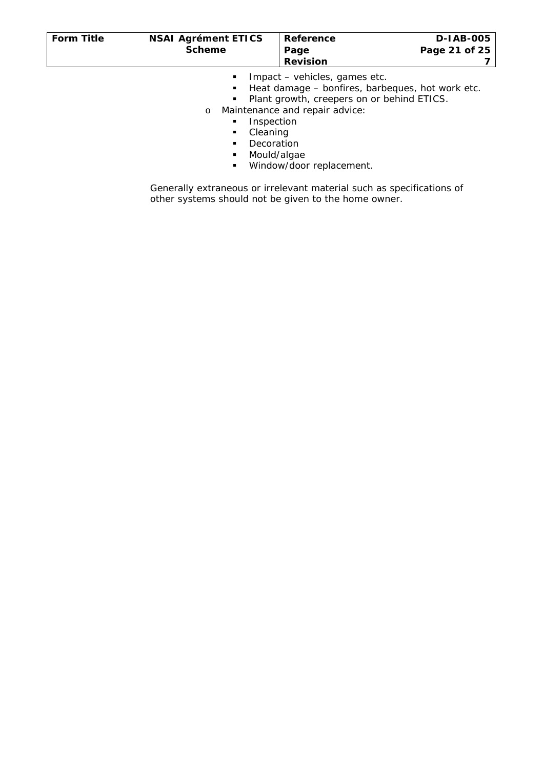| <b>Form Title</b> | <b>NSAI Agrément ETICS</b><br><b>Scheme</b> | Reference<br>Page<br><b>Revision</b> | D-1AB-005<br>Page 21 of 25                       |
|-------------------|---------------------------------------------|--------------------------------------|--------------------------------------------------|
|                   |                                             | Impact – vehicles, games etc.        | Heat damage – bonfires, barbeques, hot work etc. |

- **Plant growth, creepers on or behind ETICS.**
- o Maintenance and repair advice:
	- **Inspection** 
		- **Cleaning**
		- **Decoration**
		- Mould/algae
		- **Window/door replacement.**

Generally extraneous or irrelevant material such as specifications of other systems should not be given to the home owner.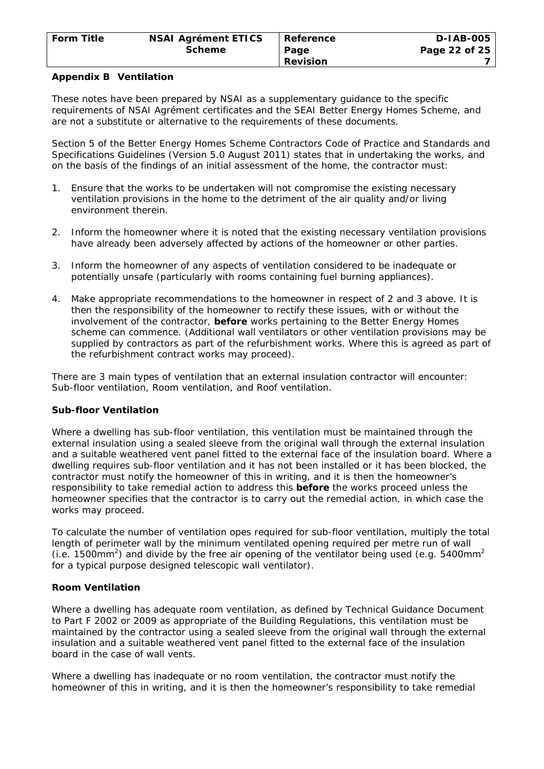### **Appendix B Ventilation**

These notes have been prepared by NSAI as a supplementary guidance to the specific requirements of NSAI Agrément certificates and the SEAI Better Energy Homes Scheme, and are not a substitute or alternative to the requirements of these documents.

Section 5 of the Better Energy Homes Scheme Contractors Code of Practice and Standards and Specifications Guidelines (Version 5.0 August 2011) states that in undertaking the works, and on the basis of the findings of an initial assessment of the home, the contractor must:

- 1. Ensure that the works to be undertaken will not compromise the existing necessary ventilation provisions in the home to the detriment of the air quality and/or living environment therein.
- 2. Inform the homeowner where it is noted that the existing necessary ventilation provisions have already been adversely affected by actions of the homeowner or other parties.
- 3. Inform the homeowner of any aspects of ventilation considered to be inadequate or potentially unsafe (particularly with rooms containing fuel burning appliances).
- 4. Make appropriate recommendations to the homeowner in respect of 2 and 3 above. It is then the responsibility of the homeowner to rectify these issues, with or without the involvement of the contractor, **before** works pertaining to the Better Energy Homes scheme can commence. (Additional wall ventilators or other ventilation provisions may be supplied by contractors as part of the refurbishment works. Where this is agreed as part of the refurbishment contract works may proceed).

There are 3 main types of ventilation that an external insulation contractor will encounter: Sub-floor ventilation, Room ventilation, and Roof ventilation.

#### **Sub-floor Ventilation**

Where a dwelling has sub-floor ventilation, this ventilation must be maintained through the external insulation using a sealed sleeve from the original wall through the external insulation and a suitable weathered vent panel fitted to the external face of the insulation board. Where a dwelling requires sub-floor ventilation and it has not been installed or it has been blocked, the contractor must notify the homeowner of this in writing, and it is then the homeowner's responsibility to take remedial action to address this **before** the works proceed unless the homeowner specifies that the contractor is to carry out the remedial action, in which case the works may proceed.

To calculate the number of ventilation opes required for sub-floor ventilation, multiply the total length of perimeter wall by the minimum ventilated opening required per metre run of wall (i.e. 1500mm<sup>2</sup>) and divide by the free air opening of the ventilator being used (e.g. 5400mm<sup>2</sup>) for a typical purpose designed telescopic wall ventilator).

#### **Room Ventilation**

Where a dwelling has adequate room ventilation, as defined by Technical Guidance Document to Part F 2002 or 2009 as appropriate of the Building Regulations, this ventilation must be maintained by the contractor using a sealed sleeve from the original wall through the external insulation and a suitable weathered vent panel fitted to the external face of the insulation board in the case of wall vents.

Where a dwelling has inadequate or no room ventilation, the contractor must notify the homeowner of this in writing, and it is then the homeowner's responsibility to take remedial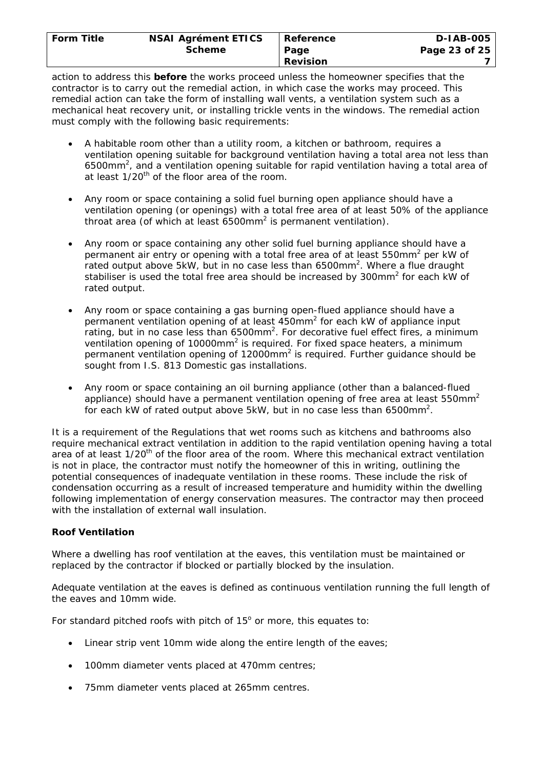| <b>Form Title</b> | <b>NSAI Agrément ETICS</b> | Reference       | <b>D-IAB-005</b> |
|-------------------|----------------------------|-----------------|------------------|
|                   |                            |                 |                  |
|                   | <b>Scheme</b>              | Page            | Page 23 of 25    |
|                   |                            | <b>Revision</b> |                  |

action to address this **before** the works proceed unless the homeowner specifies that the contractor is to carry out the remedial action, in which case the works may proceed. This remedial action can take the form of installing wall vents, a ventilation system such as a mechanical heat recovery unit, or installing trickle vents in the windows. The remedial action must comply with the following basic requirements:

- A habitable room other than a utility room, a kitchen or bathroom, requires a ventilation opening suitable for background ventilation having a total area not less than 6500mm<sup>2</sup>, and a ventilation opening suitable for rapid ventilation having a total area of at least 1/20<sup>th</sup> of the floor area of the room.
- Any room or space containing a solid fuel burning open appliance should have a ventilation opening (or openings) with a total free area of at least 50% of the appliance throat area (of which at least  $6500$ mm<sup>2</sup> is permanent ventilation).
- Any room or space containing any other solid fuel burning appliance should have a permanent air entry or opening with a total free area of at least 550mm<sup>2</sup> per kW of rated output above 5kW, but in no case less than  $6500$ mm<sup>2</sup>. Where a flue draught stabiliser is used the total free area should be increased by 300mm<sup>2</sup> for each kW of rated output.
- Any room or space containing a gas burning open-flued appliance should have a permanent ventilation opening of at least  $450$ mm<sup>2</sup> for each kW of appliance input rating, but in no case less than  $6500$ mm<sup>2</sup>. For decorative fuel effect fires, a minimum ventilation opening of 10000mm<sup>2</sup> is required. For fixed space heaters, a minimum permanent ventilation opening of 12000 $mm<sup>2</sup>$  is required. Further guidance should be sought from I.S. 813 *Domestic gas installations*.
- Any room or space containing an oil burning appliance (other than a balanced-flued appliance) should have a permanent ventilation opening of free area at least  $550$ mm<sup>2</sup> for each kW of rated output above 5kW, but in no case less than 6500mm<sup>2</sup>.

It is a requirement of the Regulations that wet rooms such as kitchens and bathrooms also require mechanical extract ventilation in addition to the rapid ventilation opening having a total area of at least 1/20<sup>th</sup> of the floor area of the room. Where this mechanical extract ventilation is not in place, the contractor must notify the homeowner of this in writing, outlining the potential consequences of inadequate ventilation in these rooms. These include the risk of condensation occurring as a result of increased temperature and humidity within the dwelling following implementation of energy conservation measures. The contractor may then proceed with the installation of external wall insulation.

# **Roof Ventilation**

Where a dwelling has roof ventilation at the eaves, this ventilation must be maintained or replaced by the contractor if blocked or partially blocked by the insulation.

Adequate ventilation at the eaves is defined as continuous ventilation running the full length of the eaves and 10mm wide.

For standard pitched roofs with pitch of  $15^{\circ}$  or more, this equates to:

- Linear strip vent 10mm wide along the entire length of the eaves;
- 100mm diameter vents placed at 470mm centres;
- 75mm diameter vents placed at 265mm centres.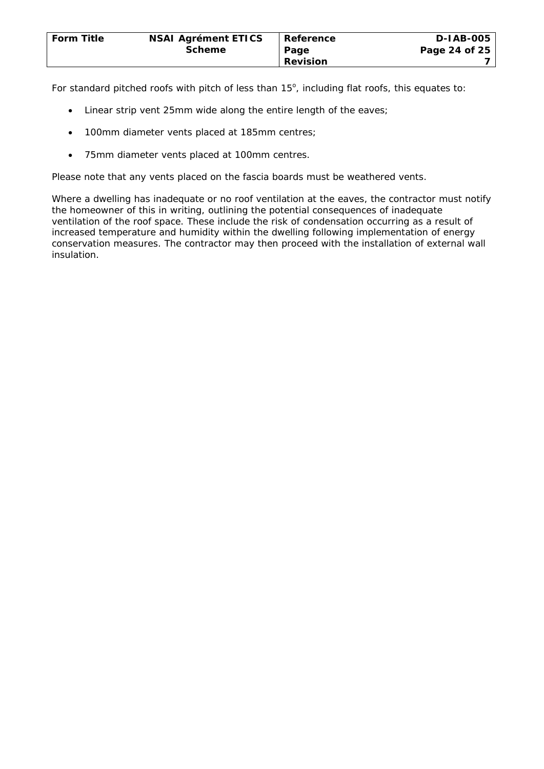For standard pitched roofs with pitch of less than  $15^\circ$ , including flat roofs, this equates to:

- Linear strip vent 25mm wide along the entire length of the eaves;
- 100mm diameter vents placed at 185mm centres;
- 75mm diameter vents placed at 100mm centres.

Please note that any vents placed on the fascia boards must be weathered vents.

Where a dwelling has inadequate or no roof ventilation at the eaves, the contractor must notify the homeowner of this in writing, outlining the potential consequences of inadequate ventilation of the roof space. These include the risk of condensation occurring as a result of increased temperature and humidity within the dwelling following implementation of energy conservation measures. The contractor may then proceed with the installation of external wall insulation.